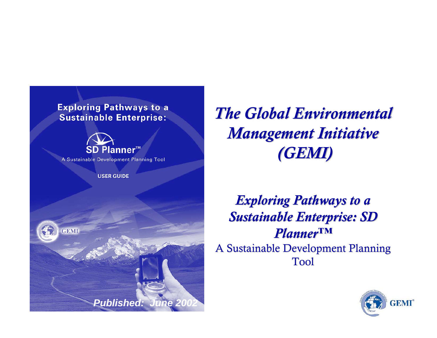#### **Exploring Pathways to a Sustainable Enterprise:**



A Sustainable Development Planning Tool

**USER GUIDE** 



*The Global Environmental The Global Environmental Management Initiative Management Initiative (GEMI)*

*Exploring Pathways to a* **Sustainable Enterprise: SD** *Planner Planner™* A Sustainable Development Planning Tool

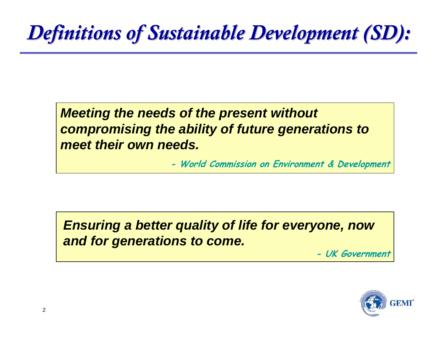## *Definitions of Sustainable Development (SD): Definitions of Sustainable Development (SD):*

*Meeting the needs of the present without compromising the ability of future generations to meet their own needs.*

**- World Commission on Environment & Development**

*Ensuring a better quality of life for everyone, now and for generations to come.*

**- UK Government**

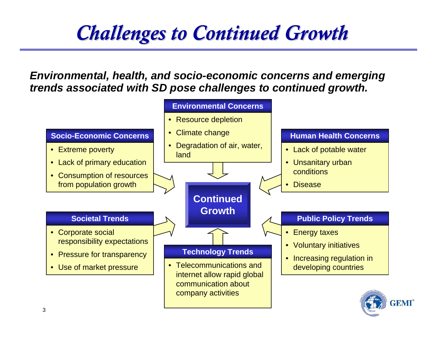## *Challenges to Continued Growth Challenges to Continued Growth*

*Environmental, health, and socio-economic concerns and emerging trends associated with SD pose challenges to continued growth.*

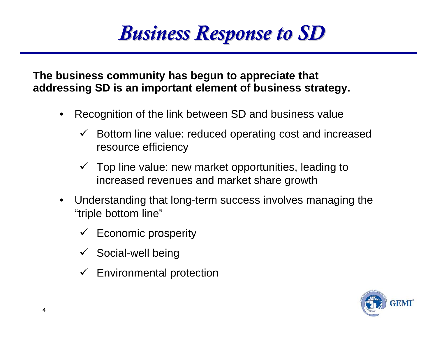## *Business Response to SD Business Response to SD*

**The business community has begun to appreciate that addressing SD is an important element of business strategy.**

- $\bullet$  Recognition of the link between SD and business value
	- $\checkmark$  Bottom line value: reduced operating cost and increased resource efficiency
	- $\checkmark$  Top line value: new market opportunities, leading to increased revenues and market share growth
- $\bullet$  Understanding that long-term success involves managing the "triple bottom line"
	- $\checkmark$  Economic prosperity
	- $\checkmark$  Social-well being
	- $\checkmark$  Environmental protection

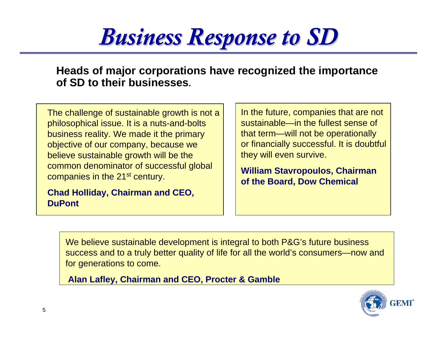# *Business Response to SD Business Response to SD*

**Heads of major corporations have recognized the importance of SD to their businesses.**

The challenge of sustainable growth is not a philosophical issue. It is a nuts-and-bolts business reality. We made it the primary objective of our company, because we believe sustainable growth will be the common denominator of successful global companies in the 21<sup>st</sup> century.

**Chad Holliday, Chairman and CEO, DuPont**

In the future, companies that are not sustainable—in the fullest sense of that term—will not be operationally or financially successful. It is doubtful they will even survive.

**William Stavropoulos, Chairman of the Board, Dow Chemical**

We believe sustainable development is integral to both P&G's future business success and to a truly better quality of life for all the world's consumers—now and for generations to come.

**Alan Lafley, Chairman and CEO, Procter & Gamble**

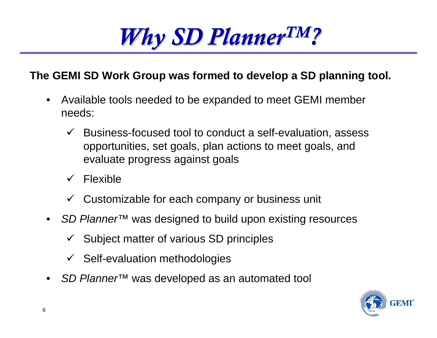# *Why SD Planner Why SD PlannerTM?*

#### **The GEMI SD Work Group was formed to develop a SD planning tool.**

- • Available tools needed to be expanded to meet GEMI member needs:
	- $\checkmark$  Business-focused tool to conduct a self-evaluation, assess opportunities, set goals, plan actions to meet goals, and evaluate progress against goals
	- $\checkmark$ Flexible
	- $\checkmark$  Customizable for each company or business unit
- • *SD Planner™* was designed to build upon existing resources
	- $\checkmark$  Subject matter of various SD principles
	- $\checkmark$  Self-evaluation methodologies
- •*SD Planner™* was developed as an automated tool

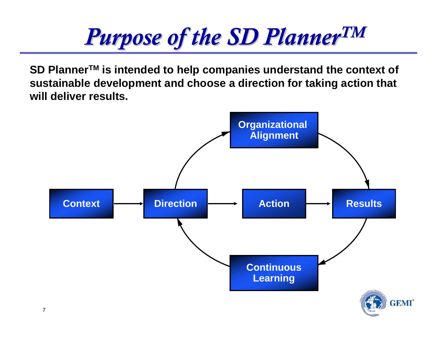# *Purpose of the SD Planner Purpose of the SD PlannerTM*

**SD PlannerTM is intended to help companies understand the context of sustainable development and choose a direction for taking action that will deliver results.**

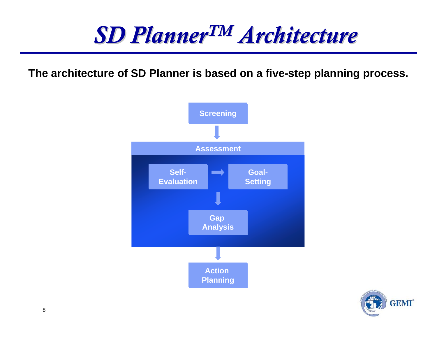## *SD Planner SD PlannerTM Architecture Architecture*

**The architecture of SD Planner is based on a five-step planning process.**



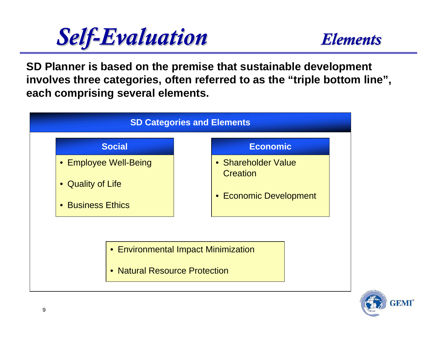

**SD Planner is based on the premise that sustainable development involves three categories, often referred to as the "triple bottom line", each comprising several elements.**



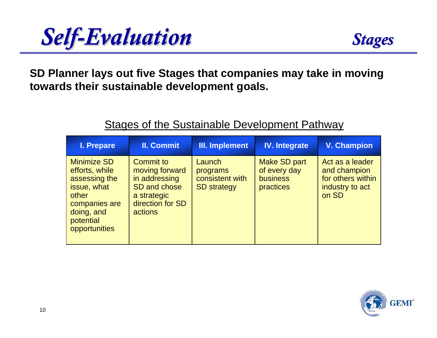

**SD Planner lays out five Stages that companies may take in moving towards their sustainable development goals.**

#### **Stages of the Sustainable Development Pathway**

| I. Prepare                                                                                                                                 | <b>II. Commit</b>                                                                                          | III. Implement                                              | <b>IV.</b> Integrate                                         | <b>V. Champion</b>                                                               |
|--------------------------------------------------------------------------------------------------------------------------------------------|------------------------------------------------------------------------------------------------------------|-------------------------------------------------------------|--------------------------------------------------------------|----------------------------------------------------------------------------------|
| <b>Minimize SD</b><br>efforts, while<br>assessing the<br>issue, what<br>other<br>companies are<br>doing, and<br>potential<br>opportunities | Commit to<br>moving forward<br>in addressing<br>SD and chose<br>a strategic<br>direction for SD<br>actions | Launch<br>programs<br>consistent with<br><b>SD</b> strategy | Make SD part<br>of every day<br><b>business</b><br>practices | Act as a leader<br>and champion<br>for others within<br>industry to act<br>on SD |

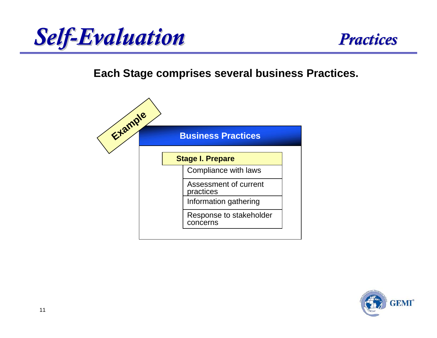



#### **Each Stage comprises several business Practices.**



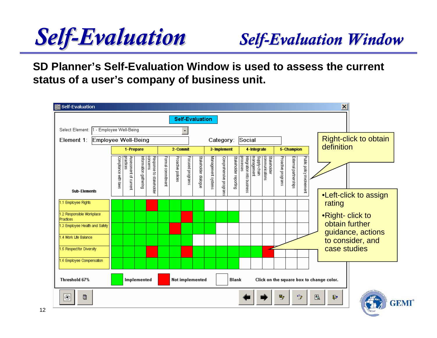# **Self-Evaluation** Self-Evaluation *Window*

**SD Planner's Self-Evaluation Window is used to assess the current status of a user's company of business unit.**

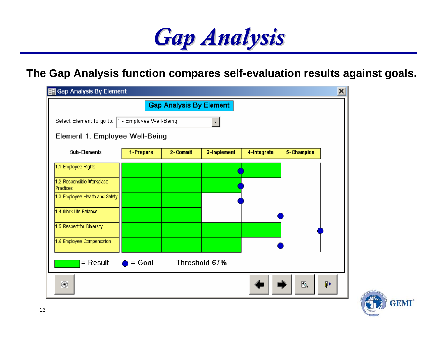

#### **The Gap Analysis function compares self-evaluation results against goals.**

| $\times$<br>图 Gap Analysis By Element                                     |           |          |             |             |            |    |
|---------------------------------------------------------------------------|-----------|----------|-------------|-------------|------------|----|
| <b>Gap Analysis By Element</b>                                            |           |          |             |             |            |    |
| Select Element to go to:  1 - Employee Well-Being<br>$\blacktriangledown$ |           |          |             |             |            |    |
| Element 1: Employee Well-Being                                            |           |          |             |             |            |    |
| <b>Sub-Elements</b>                                                       | 1-Prepare | 2-Commit | 3-Implement | 4-Integrate | 5-Champion |    |
| 1.1 Employee Rights                                                       |           |          |             |             |            |    |
| 1.2 Responsible Workplace<br>Practices                                    |           |          |             |             |            |    |
| 1.3 Employee Health and Safety                                            |           |          |             |             |            |    |
| 1.4 Work Life Balance                                                     |           |          |             |             |            |    |
| 1.5 Respect for Diversity                                                 |           |          |             |             |            |    |
| 1.6 Employee Compensation                                                 |           |          |             |             |            |    |
| Threshold 67%<br>$=$ Result<br>$=$ Goal                                   |           |          |             |             |            |    |
| $^{\circledR}$                                                            |           |          |             |             | 圈          | r. |

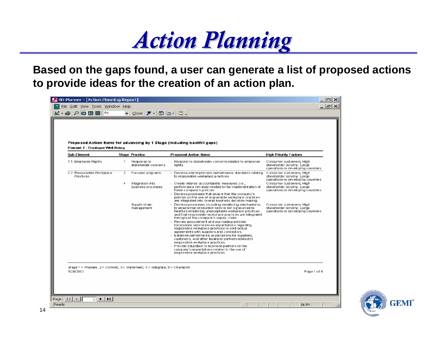

**Based on the gaps found, a user can generate a list of proposed actions to provide ideas for the creation of an action plan.**

| Element 1 - Employee Well-Being                                                                                                                                                           |                               |                                        | Proposed Action Items for advancing by 1 Stage (Including backfill gaps).                                                                                                                                                                                                     |                                                                                                  |
|-------------------------------------------------------------------------------------------------------------------------------------------------------------------------------------------|-------------------------------|----------------------------------------|-------------------------------------------------------------------------------------------------------------------------------------------------------------------------------------------------------------------------------------------------------------------------------|--------------------------------------------------------------------------------------------------|
| Sub-Element                                                                                                                                                                               |                               | <b>Stage Practice</b>                  | <b>Proposed Action Items</b>                                                                                                                                                                                                                                                  | <b>High Priority Factors</b>                                                                     |
| 1.1 Employee Rights                                                                                                                                                                       | 1.                            | Response to<br>stakeholder concerns    | - Respond to stakeholder concerns related to employee.<br>riahts.                                                                                                                                                                                                             | Consumer customers; High-<br>stakeholder scrutiny: Large-<br>operations in developing countries. |
| 1.2 Responsible Workplace<br>Practices                                                                                                                                                    | $\mathbf{2}$<br>$\frac{1}{2}$ | Focused programs                       | - Develop and implement performance standards relating<br>to responsible workplace practices.                                                                                                                                                                                 | Consumer customers; High<br>stakeholder scruting; Large-<br>operations in developing countries   |
|                                                                                                                                                                                           |                               | Integration into<br>business processes | - Create internal accountability measures (i.e., i<br>performance reviews) related to the implementation of<br>these company's policies.<br>- Develop processes that ensure that the company's                                                                                | Consumer customers; High-<br>stakeholder scrutiny; Large-<br>operations in developing countries. |
|                                                                                                                                                                                           |                               |                                        | policies on the use of responsible workplace practices.<br>are integrated into overall business decision-making.                                                                                                                                                              |                                                                                                  |
|                                                                                                                                                                                           |                               | Supply-chain<br>man agement            | - Develop processes, including monitoring mechanisms,<br>to ensure that production work is not out sourced to<br>facilities employing unacceptable workplace practices.<br>and that responsible workplace practices are integrated.<br>throughout the company's supply chain. | Consumer customers, High-<br>stakeholder scruting: Large<br>operations in developing countries   |
|                                                                                                                                                                                           |                               |                                        | - Review procurement and purchasing policies.<br>Incorporate provisions on expectations regarding<br>responsible workplace practices in contractual<br>agreements with suppliers and contractors.<br>- Establish performance expectations for suppliers,                      |                                                                                                  |
|                                                                                                                                                                                           |                               |                                        | customers, and other business partners related to<br>responsible workplace practices.<br>- Provide education to business partners on the<br>company's expectations related to the use of<br>responsible workplace practices.                                                  |                                                                                                  |
|                                                                                                                                                                                           |                               |                                        |                                                                                                                                                                                                                                                                               |                                                                                                  |
| $\texttt{Stage 1} = \texttt{Preparse}, \; \texttt{Z} = \texttt{Comment}, \; \texttt{3} = \texttt{Implementation}, \; \texttt{4} = \texttt{Integerate}, \; \texttt{5} = \texttt{Champlan}$ |                               |                                        |                                                                                                                                                                                                                                                                               |                                                                                                  |

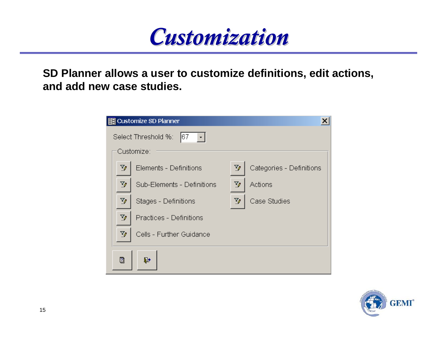

**SD Planner allows a user to customize definitions, edit actions, and add new case studies.**

| 图 Customize SD Planner                      |                            |    |                          |  |  |  |
|---------------------------------------------|----------------------------|----|--------------------------|--|--|--|
| Select Threshold %:<br> 67 <br>$\mathbf{r}$ |                            |    |                          |  |  |  |
|                                             | Customize:                 |    |                          |  |  |  |
| V                                           | Elements - Definitions     | V  | Categories - Definitions |  |  |  |
| $\mathbb{Z}_{\ell}$ .                       | Sub-Elements - Definitions | V  | Actions                  |  |  |  |
| Y,                                          | Stages - Definitions       | Y, | Case Studies             |  |  |  |
| Y                                           | Practices - Definitions    |    |                          |  |  |  |
| Y                                           | Cells - Further Guidance   |    |                          |  |  |  |
| ₫                                           | և∙                         |    |                          |  |  |  |

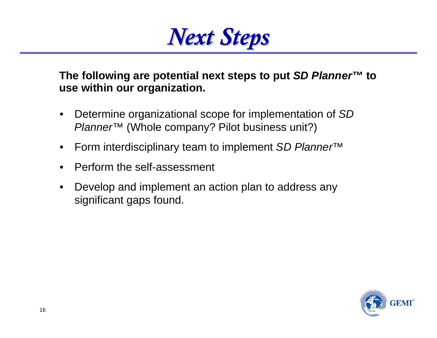

**The following are potential next steps to put** *SD Planner™* **to use within our organization.**

- • Determine organizational scope for implementation of *SD Planner™* (Whole company? Pilot business unit?)
- •Form interdisciplinary team to implement *SD Planner™*
- •Perform the self-assessment
- • Develop and implement an action plan to address any significant gaps found.